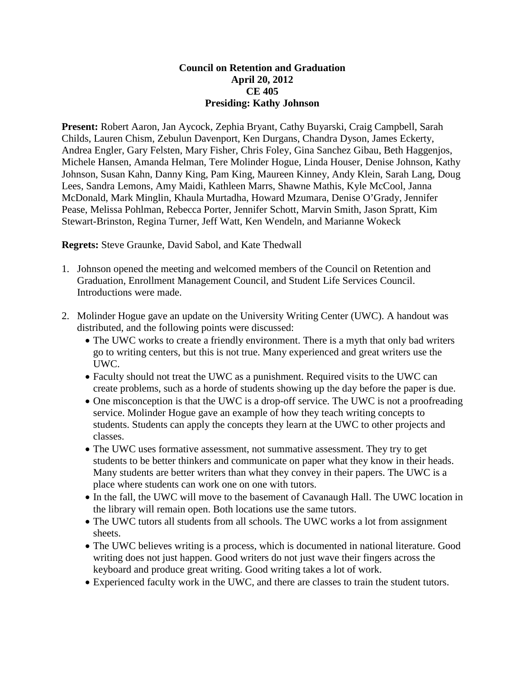## **Council on Retention and Graduation April 20, 2012 CE 405 Presiding: Kathy Johnson**

**Present:** Robert Aaron, Jan Aycock, Zephia Bryant, Cathy Buyarski, Craig Campbell, Sarah Childs, Lauren Chism, Zebulun Davenport, Ken Durgans, Chandra Dyson, James Eckerty, Andrea Engler, Gary Felsten, Mary Fisher, Chris Foley, Gina Sanchez Gibau, Beth Haggenjos, Michele Hansen, Amanda Helman, Tere Molinder Hogue, Linda Houser, Denise Johnson, Kathy Johnson, Susan Kahn, Danny King, Pam King, Maureen Kinney, Andy Klein, Sarah Lang, Doug Lees, Sandra Lemons, Amy Maidi, Kathleen Marrs, Shawne Mathis, Kyle McCool, Janna McDonald, Mark Minglin, Khaula Murtadha, Howard Mzumara, Denise O'Grady, Jennifer Pease, Melissa Pohlman, Rebecca Porter, Jennifer Schott, Marvin Smith, Jason Spratt, Kim Stewart-Brinston, Regina Turner, Jeff Watt, Ken Wendeln, and Marianne Wokeck

**Regrets:** Steve Graunke, David Sabol, and Kate Thedwall

- 1. Johnson opened the meeting and welcomed members of the Council on Retention and Graduation, Enrollment Management Council, and Student Life Services Council. Introductions were made.
- 2. Molinder Hogue gave an update on the University Writing Center (UWC). A handout was distributed, and the following points were discussed:
	- The UWC works to create a friendly environment. There is a myth that only bad writers go to writing centers, but this is not true. Many experienced and great writers use the UWC.
	- Faculty should not treat the UWC as a punishment. Required visits to the UWC can create problems, such as a horde of students showing up the day before the paper is due.
	- One misconception is that the UWC is a drop-off service. The UWC is not a proofreading service. Molinder Hogue gave an example of how they teach writing concepts to students. Students can apply the concepts they learn at the UWC to other projects and classes.
	- The UWC uses formative assessment, not summative assessment. They try to get students to be better thinkers and communicate on paper what they know in their heads. Many students are better writers than what they convey in their papers. The UWC is a place where students can work one on one with tutors.
	- In the fall, the UWC will move to the basement of Cavanaugh Hall. The UWC location in the library will remain open. Both locations use the same tutors.
	- The UWC tutors all students from all schools. The UWC works a lot from assignment sheets.
	- The UWC believes writing is a process, which is documented in national literature. Good writing does not just happen. Good writers do not just wave their fingers across the keyboard and produce great writing. Good writing takes a lot of work.
	- Experienced faculty work in the UWC, and there are classes to train the student tutors.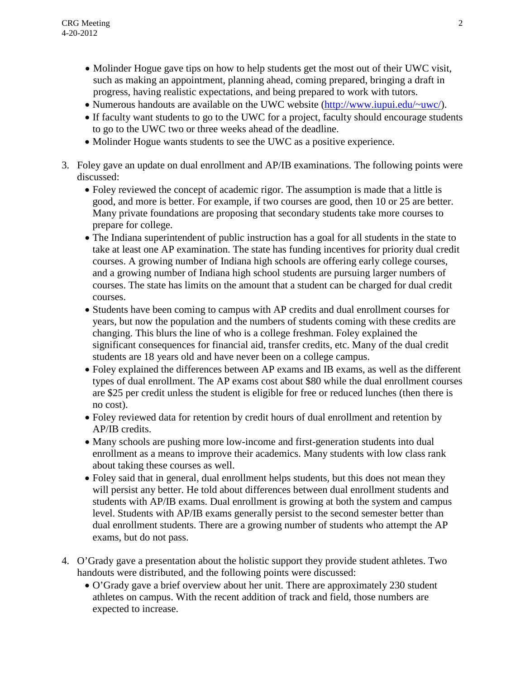- Molinder Hogue gave tips on how to help students get the most out of their UWC visit, such as making an appointment, planning ahead, coming prepared, bringing a draft in progress, having realistic expectations, and being prepared to work with tutors.
- Numerous handouts are available on the UWC website (http://www.jupui.edu/~uwc/).
- If faculty want students to go to the UWC for a project, faculty should encourage students to go to the UWC two or three weeks ahead of the deadline.
- Molinder Hogue wants students to see the UWC as a positive experience.
- 3. Foley gave an update on dual enrollment and AP/IB examinations. The following points were discussed:
	- Foley reviewed the concept of academic rigor. The assumption is made that a little is good, and more is better. For example, if two courses are good, then 10 or 25 are better. Many private foundations are proposing that secondary students take more courses to prepare for college.
	- The Indiana superintendent of public instruction has a goal for all students in the state to take at least one AP examination. The state has funding incentives for priority dual credit courses. A growing number of Indiana high schools are offering early college courses, and a growing number of Indiana high school students are pursuing larger numbers of courses. The state has limits on the amount that a student can be charged for dual credit courses.
	- Students have been coming to campus with AP credits and dual enrollment courses for years, but now the population and the numbers of students coming with these credits are changing. This blurs the line of who is a college freshman. Foley explained the significant consequences for financial aid, transfer credits, etc. Many of the dual credit students are 18 years old and have never been on a college campus.
	- Foley explained the differences between AP exams and IB exams, as well as the different types of dual enrollment. The AP exams cost about \$80 while the dual enrollment courses are \$25 per credit unless the student is eligible for free or reduced lunches (then there is no cost).
	- Foley reviewed data for retention by credit hours of dual enrollment and retention by AP/IB credits.
	- Many schools are pushing more low-income and first-generation students into dual enrollment as a means to improve their academics. Many students with low class rank about taking these courses as well.
	- Foley said that in general, dual enrollment helps students, but this does not mean they will persist any better. He told about differences between dual enrollment students and students with AP/IB exams. Dual enrollment is growing at both the system and campus level. Students with AP/IB exams generally persist to the second semester better than dual enrollment students. There are a growing number of students who attempt the AP exams, but do not pass.
- 4. O'Grady gave a presentation about the holistic support they provide student athletes. Two handouts were distributed, and the following points were discussed:
	- O'Grady gave a brief overview about her unit. There are approximately 230 student athletes on campus. With the recent addition of track and field, those numbers are expected to increase.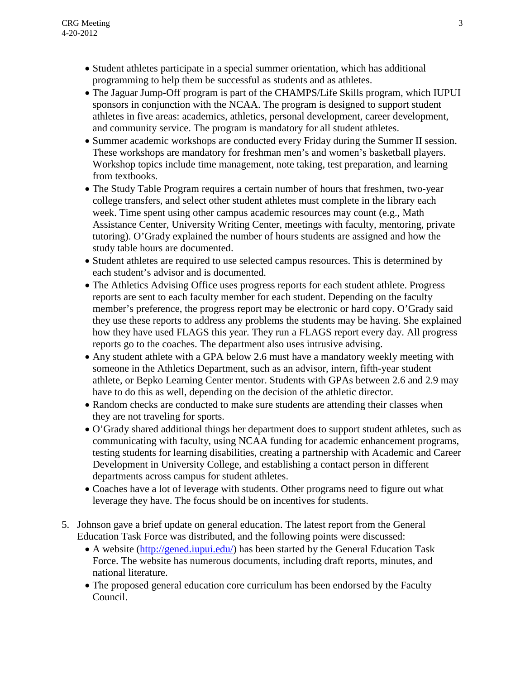- Student athletes participate in a special summer orientation, which has additional programming to help them be successful as students and as athletes.
- The Jaguar Jump-Off program is part of the CHAMPS/Life Skills program, which IUPUI sponsors in conjunction with the NCAA. The program is designed to support student athletes in five areas: academics, athletics, personal development, career development, and community service. The program is mandatory for all student athletes.
- Summer academic workshops are conducted every Friday during the Summer II session. These workshops are mandatory for freshman men's and women's basketball players. Workshop topics include time management, note taking, test preparation, and learning from textbooks.
- The Study Table Program requires a certain number of hours that freshmen, two-year college transfers, and select other student athletes must complete in the library each week. Time spent using other campus academic resources may count (e.g., Math Assistance Center, University Writing Center, meetings with faculty, mentoring, private tutoring). O'Grady explained the number of hours students are assigned and how the study table hours are documented.
- Student athletes are required to use selected campus resources. This is determined by each student's advisor and is documented.
- The Athletics Advising Office uses progress reports for each student athlete. Progress reports are sent to each faculty member for each student. Depending on the faculty member's preference, the progress report may be electronic or hard copy. O'Grady said they use these reports to address any problems the students may be having. She explained how they have used FLAGS this year. They run a FLAGS report every day. All progress reports go to the coaches. The department also uses intrusive advising.
- Any student athlete with a GPA below 2.6 must have a mandatory weekly meeting with someone in the Athletics Department, such as an advisor, intern, fifth-year student athlete, or Bepko Learning Center mentor. Students with GPAs between 2.6 and 2.9 may have to do this as well, depending on the decision of the athletic director.
- Random checks are conducted to make sure students are attending their classes when they are not traveling for sports.
- O'Grady shared additional things her department does to support student athletes, such as communicating with faculty, using NCAA funding for academic enhancement programs, testing students for learning disabilities, creating a partnership with Academic and Career Development in University College, and establishing a contact person in different departments across campus for student athletes.
- Coaches have a lot of leverage with students. Other programs need to figure out what leverage they have. The focus should be on incentives for students.
- 5. Johnson gave a brief update on general education. The latest report from the General Education Task Force was distributed, and the following points were discussed:
	- A website [\(http://gened.iupui.edu/\)](http://gened.iupui.edu/) has been started by the General Education Task Force. The website has numerous documents, including draft reports, minutes, and national literature.
	- The proposed general education core curriculum has been endorsed by the Faculty Council.